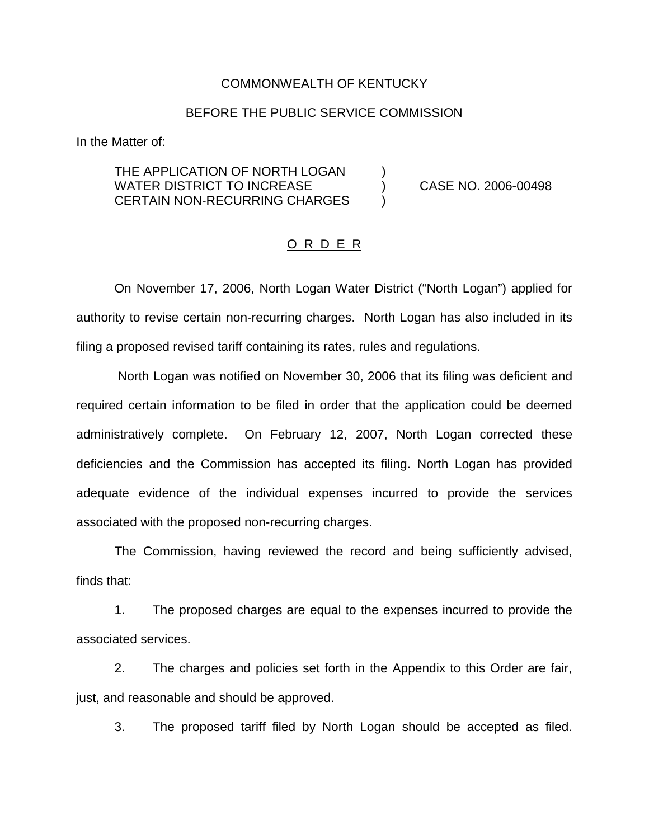#### COMMONWEALTH OF KENTUCKY

#### BEFORE THE PUBLIC SERVICE COMMISSION

In the Matter of:

## THE APPLICATION OF NORTH LOGAN  $( )$ WATER DISTRICT TO INCREASE  $(1.2006 - 0.0498)$ CERTAIN NON-RECURRING CHARGES )

### O R D E R

On November 17, 2006, North Logan Water District ("North Logan") applied for authority to revise certain non-recurring charges. North Logan has also included in its filing a proposed revised tariff containing its rates, rules and regulations.

North Logan was notified on November 30, 2006 that its filing was deficient and required certain information to be filed in order that the application could be deemed administratively complete. On February 12, 2007, North Logan corrected these deficiencies and the Commission has accepted its filing. North Logan has provided adequate evidence of the individual expenses incurred to provide the services associated with the proposed non-recurring charges.

The Commission, having reviewed the record and being sufficiently advised, finds that:

1. The proposed charges are equal to the expenses incurred to provide the associated services.

2. The charges and policies set forth in the Appendix to this Order are fair, just, and reasonable and should be approved.

3. The proposed tariff filed by North Logan should be accepted as filed.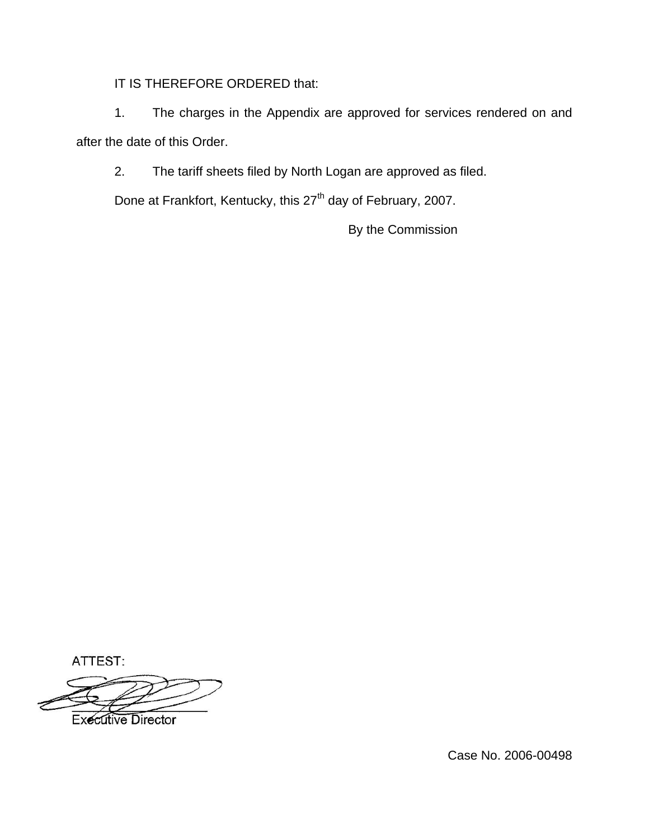IT IS THEREFORE ORDERED that:

1. The charges in the Appendix are approved for services rendered on and after the date of this Order.

2. The tariff sheets filed by North Logan are approved as filed.

Done at Frankfort, Kentucky, this 27<sup>th</sup> day of February, 2007.

By the Commission

ATTEST:

**Executive Director** 

Case No. 2006-00498